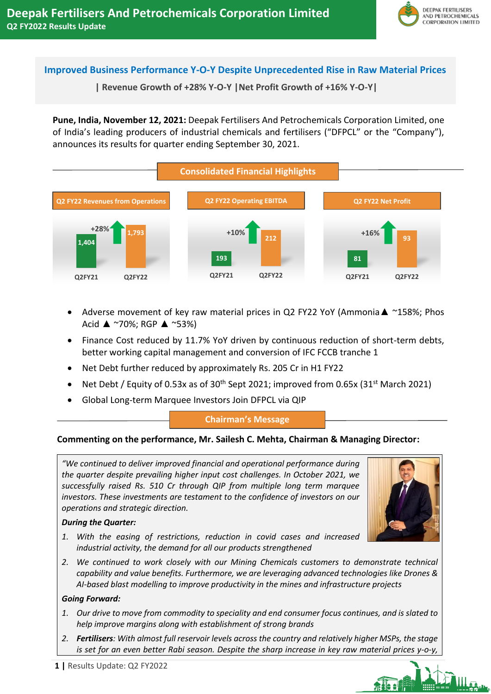

# **Improved Business Performance Y-O-Y Despite Unprecedented Rise in Raw Material Prices**

**| Revenue Growth of +28% Y-O-Y |Net Profit Growth of +16% Y-O-Y|**

**Pune, India, November 12, 2021:** Deepak Fertilisers And Petrochemicals Corporation Limited, one of India's leading producers of industrial chemicals and fertilisers ("DFPCL" or the "Company"), announces its results for quarter ending September 30, 2021.



- Adverse movement of key raw material prices in Q2 FY22 YoY (Ammonia  $\blacktriangle$  ~158%; Phos Acid ▲ ~70%; RGP ▲ ~53%)
- Finance Cost reduced by 11.7% YoY driven by continuous reduction of short-term debts, better working capital management and conversion of IFC FCCB tranche 1
- Net Debt further reduced by approximately Rs. 205 Cr in H1 FY22
- Net Debt / Equity of 0.53x as of 30<sup>th</sup> Sept 2021; improved from 0.65x (31<sup>st</sup> March 2021)
- Global Long-term Marquee Investors Join DFPCL via QIP

## **Chairman's Message**

## **Commenting on the performance, Mr. Sailesh C. Mehta, Chairman & Managing Director:**

*"We continued to deliver improved financial and operational performance during the quarter despite prevailing higher input cost challenges. In October 2021, we successfully raised Rs. 510 Cr through QIP from multiple long term marquee investors. These investments are testament to the confidence of investors on our operations and strategic direction.*

## *During the Quarter:*

- *1. With the easing of restrictions, reduction in covid cases and increased industrial activity, the demand for all our products strengthened*
- *2. We continued to work closely with our Mining Chemicals customers to demonstrate technical capability and value benefits. Furthermore, we are leveraging advanced technologies like Drones & AI-based blast modelling to improve productivity in the mines and infrastructure projects*

## *Going Forward:*

- *1. Our drive to move from commodity to speciality and end consumer focus continues, and is slated to help improve margins along with establishment of strong brands*
- *2. Fertilisers: With almost full reservoir levels across the country and relatively higher MSPs, the stage is set for an even better Rabi season. Despite the sharp increase in key raw material prices y-o-y,*

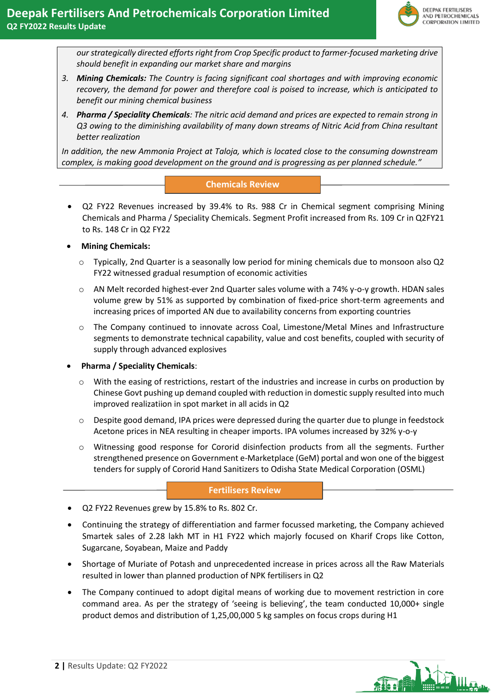*our strategically directed efforts right from Crop Specific product to farmer-focused marketing drive should benefit in expanding our market share and margins*

- *3. Mining Chemicals: The Country is facing significant coal shortages and with improving economic recovery, the demand for power and therefore coal is poised to increase, which is anticipated to benefit our mining chemical business*
- *4. Pharma / Speciality Chemicals: The nitric acid demand and prices are expected to remain strong in Q3 owing to the diminishing availability of many down streams of Nitric Acid from China resultant better realization*

*In addition, the new Ammonia Project at Taloja, which is located close to the consuming downstream complex, is making good development on the ground and is progressing as per planned schedule."*

## **Chemicals Review**

- Q2 FY22 Revenues increased by 39.4% to Rs. 988 Cr in Chemical segment comprising Mining Chemicals and Pharma / Speciality Chemicals. Segment Profit increased from Rs. 109 Cr in Q2FY21 to Rs. 148 Cr in Q2 FY22
- **Mining Chemicals:** 
	- $\circ$  Typically, 2nd Quarter is a seasonally low period for mining chemicals due to monsoon also Q2 FY22 witnessed gradual resumption of economic activities
	- o AN Melt recorded highest-ever 2nd Quarter sales volume with a 74% y-o-y growth. HDAN sales volume grew by 51% as supported by combination of fixed-price short-term agreements and increasing prices of imported AN due to availability concerns from exporting countries
	- o The Company continued to innovate across Coal, Limestone/Metal Mines and Infrastructure segments to demonstrate technical capability, value and cost benefits, coupled with security of supply through advanced explosives
- **Pharma / Speciality Chemicals**:
	- o With the easing of restrictions, restart of the industries and increase in curbs on production by Chinese Govt pushing up demand coupled with reduction in domestic supply resulted into much improved realizatiion in spot market in all acids in Q2
	- $\circ$  Despite good demand, IPA prices were depressed during the quarter due to plunge in feedstock Acetone prices in NEA resulting in cheaper imports. IPA volumes increased by 32% y-o-y
	- o Witnessing good response for Cororid disinfection products from all the segments. Further strengthened presence on Government e-Marketplace (GeM) portal and won one of the biggest tenders for supply of Cororid Hand Sanitizers to Odisha State Medical Corporation (OSML)

## **Fertilisers Review**

- Q2 FY22 Revenues grew by 15.8% to Rs. 802 Cr.
- Continuing the strategy of differentiation and farmer focussed marketing, the Company achieved Smartek sales of 2.28 lakh MT in H1 FY22 which majorly focused on Kharif Crops like Cotton, Sugarcane, Soyabean, Maize and Paddy
- Shortage of Muriate of Potash and unprecedented increase in prices across all the Raw Materials resulted in lower than planned production of NPK fertilisers in Q2
- The Company continued to adopt digital means of working due to movement restriction in core command area. As per the strategy of 'seeing is believing', the team conducted 10,000+ single product demos and distribution of 1,25,00,000 5 kg samples on focus crops during H1